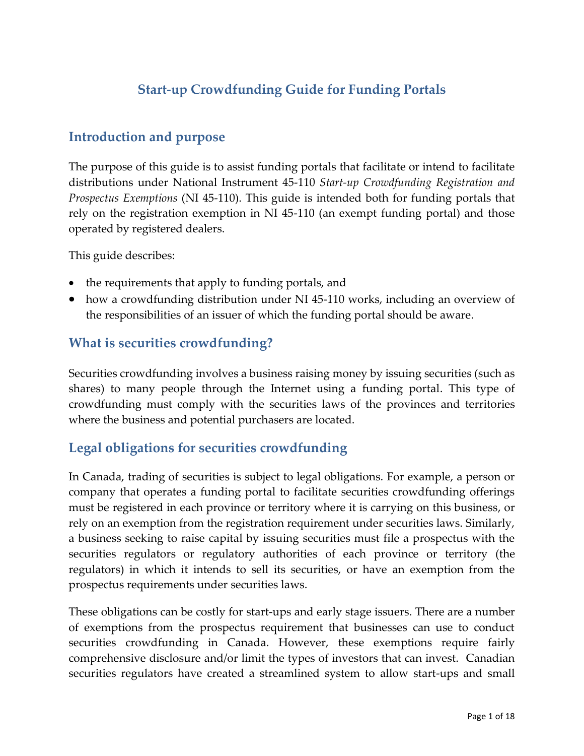# **Start-up Crowdfunding Guide for Funding Portals**

## **Introduction and purpose**

The purpose of this guide is to assist funding portals that facilitate or intend to facilitate distributions under National Instrument 45-110 *Start-up Crowdfunding Registration and Prospectus Exemptions* (NI 45-110). This guide is intended both for funding portals that rely on the registration exemption in NI 45-110 (an exempt funding portal) and those operated by registered dealers.

This guide describes:

- the requirements that apply to funding portals, and
- how a crowdfunding distribution under NI 45-110 works, including an overview of the responsibilities of an issuer of which the funding portal should be aware.

## **What is securities crowdfunding?**

Securities crowdfunding involves a business raising money by issuing securities (such as shares) to many people through the Internet using a funding portal. This type of crowdfunding must comply with the securities laws of the provinces and territories where the business and potential purchasers are located.

## **Legal obligations for securities crowdfunding**

In Canada, trading of securities is subject to legal obligations. For example, a person or company that operates a funding portal to facilitate securities crowdfunding offerings must be registered in each province or territory where it is carrying on this business, or rely on an exemption from the registration requirement under securities laws. Similarly, a business seeking to raise capital by issuing securities must file a prospectus with the securities regulators or regulatory authorities of each province or territory (the regulators) in which it intends to sell its securities, or have an exemption from the prospectus requirements under securities laws.

These obligations can be costly for start-ups and early stage issuers. There are a number of exemptions from the prospectus requirement that businesses can use to conduct securities crowdfunding in Canada. However, these exemptions require fairly comprehensive disclosure and/or limit the types of investors that can invest. Canadian securities regulators have created a streamlined system to allow start-ups and small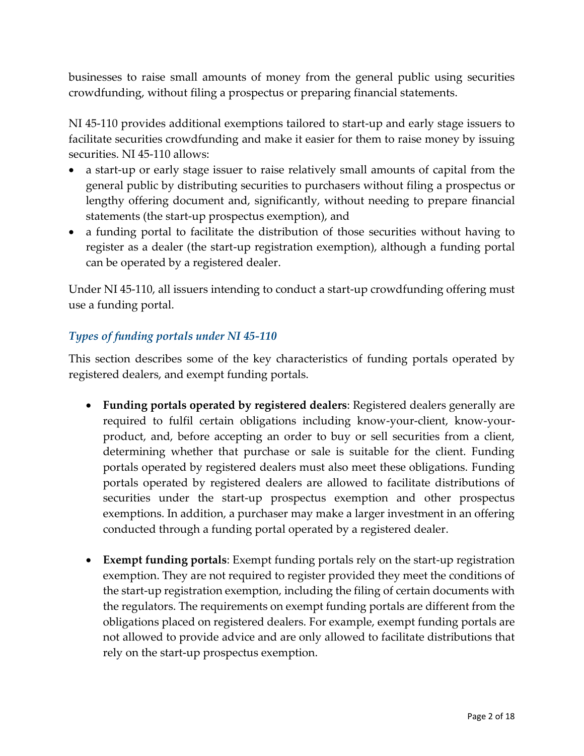businesses to raise small amounts of money from the general public using securities crowdfunding, without filing a prospectus or preparing financial statements.

NI 45-110 provides additional exemptions tailored to start-up and early stage issuers to facilitate securities crowdfunding and make it easier for them to raise money by issuing securities. NI 45-110 allows:

- a start-up or early stage issuer to raise relatively small amounts of capital from the general public by distributing securities to purchasers without filing a prospectus or lengthy offering document and, significantly, without needing to prepare financial statements (the start-up prospectus exemption), and
- a funding portal to facilitate the distribution of those securities without having to register as a dealer (the start-up registration exemption), although a funding portal can be operated by a registered dealer.

Under NI 45-110, all issuers intending to conduct a start-up crowdfunding offering must use a funding portal.

### *Types of funding portals under NI 45-110*

This section describes some of the key characteristics of funding portals operated by registered dealers, and exempt funding portals.

- **Funding portals operated by registered dealers**: Registered dealers generally are required to fulfil certain obligations including know-your-client, know-yourproduct, and, before accepting an order to buy or sell securities from a client, determining whether that purchase or sale is suitable for the client. Funding portals operated by registered dealers must also meet these obligations. Funding portals operated by registered dealers are allowed to facilitate distributions of securities under the start-up prospectus exemption and other prospectus exemptions. In addition, a purchaser may make a larger investment in an offering conducted through a funding portal operated by a registered dealer.
- **Exempt funding portals**: Exempt funding portals rely on the start-up registration exemption. They are not required to register provided they meet the conditions of the start-up registration exemption, including the filing of certain documents with the regulators. The requirements on exempt funding portals are different from the obligations placed on registered dealers. For example, exempt funding portals are not allowed to provide advice and are only allowed to facilitate distributions that rely on the start-up prospectus exemption.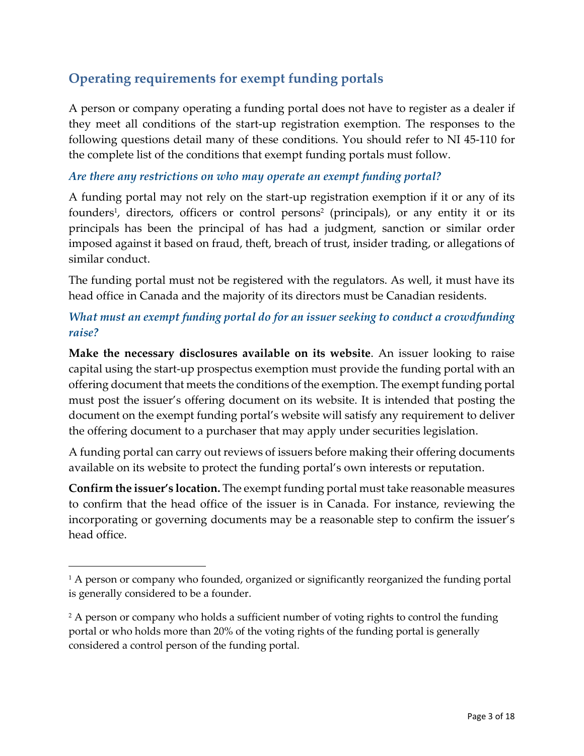# **Operating requirements for exempt funding portals**

A person or company operating a funding portal does not have to register as a dealer if they meet all conditions of the start-up registration exemption. The responses to the following questions detail many of these conditions. You should refer to NI 45-110 for the complete list of the conditions that exempt funding portals must follow.

#### *Are there any restrictions on who may operate an exempt funding portal?*

A funding portal may not rely on the start-up registration exemption if it or any of its founders 1 , directors, officers or control persons 2 (principals), or any entity it or its principals has been the principal of has had a judgment, sanction or similar order imposed against it based on fraud, theft, breach of trust, insider trading, or allegations of similar conduct.

The funding portal must not be registered with the regulators. As well, it must have its head office in Canada and the majority of its directors must be Canadian residents.

## *What must an exempt funding portal do for an issuer seeking to conduct a crowdfunding raise?*

**Make the necessary disclosures available on its website**. An issuer looking to raise capital using the start-up prospectus exemption must provide the funding portal with an offering document that meets the conditions of the exemption. The exempt funding portal must post the issuer's offering document on its website. It is intended that posting the document on the exempt funding portal's website will satisfy any requirement to deliver the offering document to a purchaser that may apply under securities legislation.

A funding portal can carry out reviews of issuers before making their offering documents available on its website to protect the funding portal's own interests or reputation.

**Confirm the issuer's location.** The exempt funding portal must take reasonable measures to confirm that the head office of the issuer is in Canada. For instance, reviewing the incorporating or governing documents may be a reasonable step to confirm the issuer's head office.

 $\overline{a}$ 

<sup>&</sup>lt;sup>1</sup> A person or company who founded, organized or significantly reorganized the funding portal is generally considered to be a founder.

<sup>&</sup>lt;sup>2</sup> A person or company who holds a sufficient number of voting rights to control the funding portal or who holds more than 20% of the voting rights of the funding portal is generally considered a control person of the funding portal.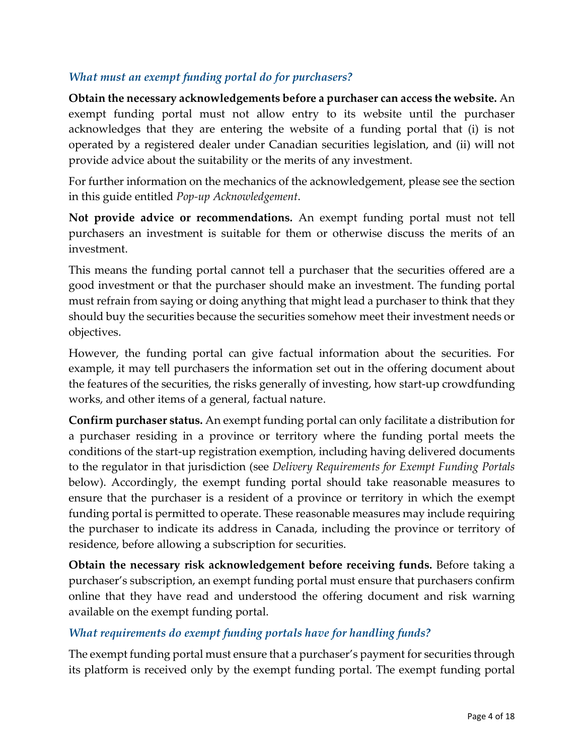### *What must an exempt funding portal do for purchasers?*

**Obtain the necessary acknowledgements before a purchaser can access the website.** An exempt funding portal must not allow entry to its website until the purchaser acknowledges that they are entering the website of a funding portal that (i) is not operated by a registered dealer under Canadian securities legislation, and (ii) will not provide advice about the suitability or the merits of any investment.

For further information on the mechanics of the acknowledgement, please see the section in this guide entitled *Pop-up Acknowledgement*.

**Not provide advice or recommendations.** An exempt funding portal must not tell purchasers an investment is suitable for them or otherwise discuss the merits of an investment.

This means the funding portal cannot tell a purchaser that the securities offered are a good investment or that the purchaser should make an investment. The funding portal must refrain from saying or doing anything that might lead a purchaser to think that they should buy the securities because the securities somehow meet their investment needs or objectives.

However, the funding portal can give factual information about the securities. For example, it may tell purchasers the information set out in the offering document about the features of the securities, the risks generally of investing, how start-up crowdfunding works, and other items of a general, factual nature.

**Confirm purchaser status.** An exempt funding portal can only facilitate a distribution for a purchaser residing in a province or territory where the funding portal meets the conditions of the start-up registration exemption, including having delivered documents to the regulator in that jurisdiction (see *Delivery Requirements for Exempt Funding Portals*  below). Accordingly, the exempt funding portal should take reasonable measures to ensure that the purchaser is a resident of a province or territory in which the exempt funding portal is permitted to operate. These reasonable measures may include requiring the purchaser to indicate its address in Canada, including the province or territory of residence, before allowing a subscription for securities.

**Obtain the necessary risk acknowledgement before receiving funds.** Before taking a purchaser's subscription, an exempt funding portal must ensure that purchasers confirm online that they have read and understood the offering document and risk warning available on the exempt funding portal.

### *What requirements do exempt funding portals have for handling funds?*

The exempt funding portal must ensure that a purchaser's payment for securities through its platform is received only by the exempt funding portal. The exempt funding portal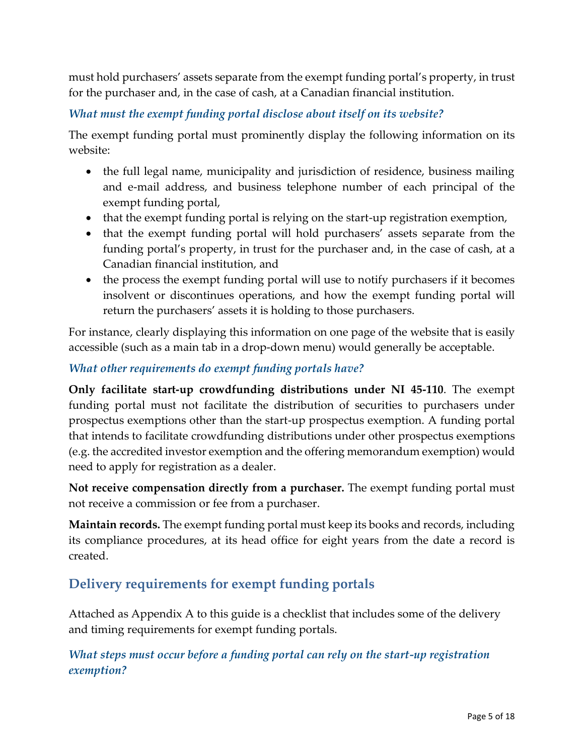must hold purchasers' assets separate from the exempt funding portal's property, in trust for the purchaser and, in the case of cash, at a Canadian financial institution.

*What must the exempt funding portal disclose about itself on its website?*

The exempt funding portal must prominently display the following information on its website:

- the full legal name, municipality and jurisdiction of residence, business mailing and e-mail address, and business telephone number of each principal of the exempt funding portal,
- that the exempt funding portal is relying on the start-up registration exemption,
- that the exempt funding portal will hold purchasers' assets separate from the funding portal's property, in trust for the purchaser and, in the case of cash, at a Canadian financial institution, and
- the process the exempt funding portal will use to notify purchasers if it becomes insolvent or discontinues operations, and how the exempt funding portal will return the purchasers' assets it is holding to those purchasers.

For instance, clearly displaying this information on one page of the website that is easily accessible (such as a main tab in a drop-down menu) would generally be acceptable.

#### *What other requirements do exempt funding portals have?*

**Only facilitate start-up crowdfunding distributions under NI 45-110**. The exempt funding portal must not facilitate the distribution of securities to purchasers under prospectus exemptions other than the start-up prospectus exemption. A funding portal that intends to facilitate crowdfunding distributions under other prospectus exemptions (e.g. the accredited investor exemption and the offering memorandum exemption) would need to apply for registration as a dealer.

**Not receive compensation directly from a purchaser.** The exempt funding portal must not receive a commission or fee from a purchaser.

**Maintain records.** The exempt funding portal must keep its books and records, including its compliance procedures, at its head office for eight years from the date a record is created.

## **Delivery requirements for exempt funding portals**

Attached as Appendix A to this guide is a checklist that includes some of the delivery and timing requirements for exempt funding portals.

### *What steps must occur before a funding portal can rely on the start-up registration exemption?*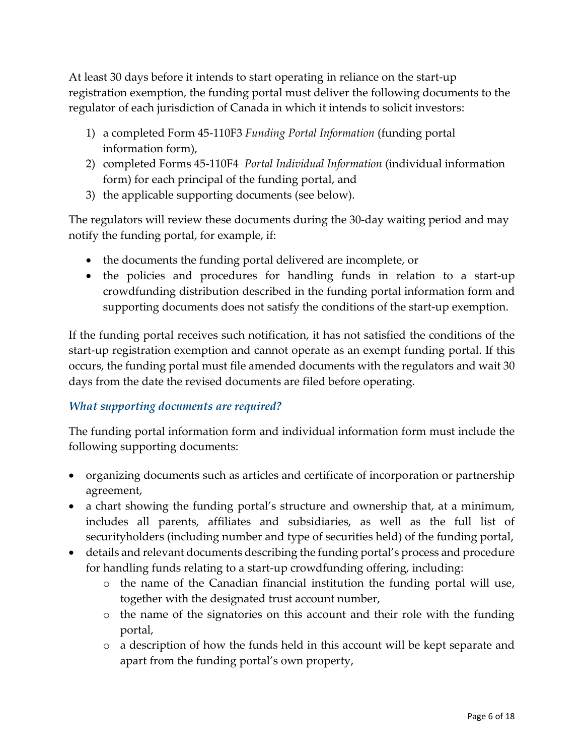At least 30 days before it intends to start operating in reliance on the start-up registration exemption, the funding portal must deliver the following documents to the regulator of each jurisdiction of Canada in which it intends to solicit investors:

- 1) a completed Form 45-110F3 *Funding Portal Information* (funding portal information form),
- 2) completed Forms 45-110F4 *Portal Individual Information* (individual information form) for each principal of the funding portal, and
- 3) the applicable supporting documents (see below).

The regulators will review these documents during the 30-day waiting period and may notify the funding portal, for example, if:

- the documents the funding portal delivered are incomplete, or
- the policies and procedures for handling funds in relation to a start-up crowdfunding distribution described in the funding portal information form and supporting documents does not satisfy the conditions of the start-up exemption.

If the funding portal receives such notification, it has not satisfied the conditions of the start-up registration exemption and cannot operate as an exempt funding portal. If this occurs, the funding portal must file amended documents with the regulators and wait 30 days from the date the revised documents are filed before operating.

### *What supporting documents are required?*

The funding portal information form and individual information form must include the following supporting documents:

- organizing documents such as articles and certificate of incorporation or partnership agreement,
- a chart showing the funding portal's structure and ownership that, at a minimum, includes all parents, affiliates and subsidiaries, as well as the full list of securityholders (including number and type of securities held) of the funding portal,
- details and relevant documents describing the funding portal's process and procedure for handling funds relating to a start-up crowdfunding offering, including:
	- o the name of the Canadian financial institution the funding portal will use, together with the designated trust account number,
	- o the name of the signatories on this account and their role with the funding portal,
	- o a description of how the funds held in this account will be kept separate and apart from the funding portal's own property,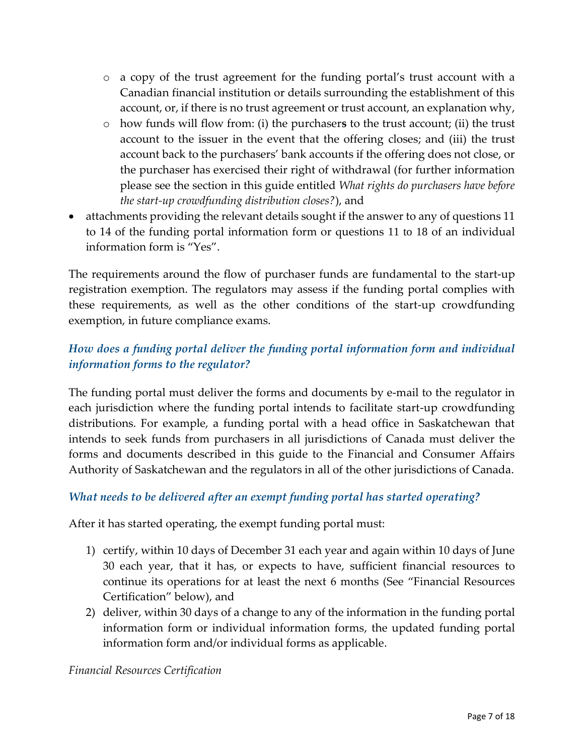- o a copy of the trust agreement for the funding portal's trust account with a Canadian financial institution or details surrounding the establishment of this account, or, if there is no trust agreement or trust account, an explanation why,
- o how funds will flow from: (i) the purchaser**s** to the trust account; (ii) the trust account to the issuer in the event that the offering closes; and (iii) the trust account back to the purchasers' bank accounts if the offering does not close, or the purchaser has exercised their right of withdrawal (for further information please see the section in this guide entitled *What rights do purchasers have before the start-up crowdfunding distribution closes?*), and
- attachments providing the relevant details sought if the answer to any of questions 11 to 14 of the funding portal information form or questions 11 to 18 of an individual information form is "Yes".

The requirements around the flow of purchaser funds are fundamental to the start-up registration exemption. The regulators may assess if the funding portal complies with these requirements, as well as the other conditions of the start-up crowdfunding exemption, in future compliance exams.

## *How does a funding portal deliver the funding portal information form and individual information forms to the regulator?*

The funding portal must deliver the forms and documents by e-mail to the regulator in each jurisdiction where the funding portal intends to facilitate start-up crowdfunding distributions. For example, a funding portal with a head office in Saskatchewan that intends to seek funds from purchasers in all jurisdictions of Canada must deliver the forms and documents described in this guide to the Financial and Consumer Affairs Authority of Saskatchewan and the regulators in all of the other jurisdictions of Canada.

### *What needs to be delivered after an exempt funding portal has started operating?*

After it has started operating, the exempt funding portal must:

- 1) certify, within 10 days of December 31 each year and again within 10 days of June 30 each year, that it has, or expects to have, sufficient financial resources to continue its operations for at least the next 6 months (See "Financial Resources Certification" below), and
- 2) deliver, within 30 days of a change to any of the information in the funding portal information form or individual information forms, the updated funding portal information form and/or individual forms as applicable.

#### *Financial Resources Certification*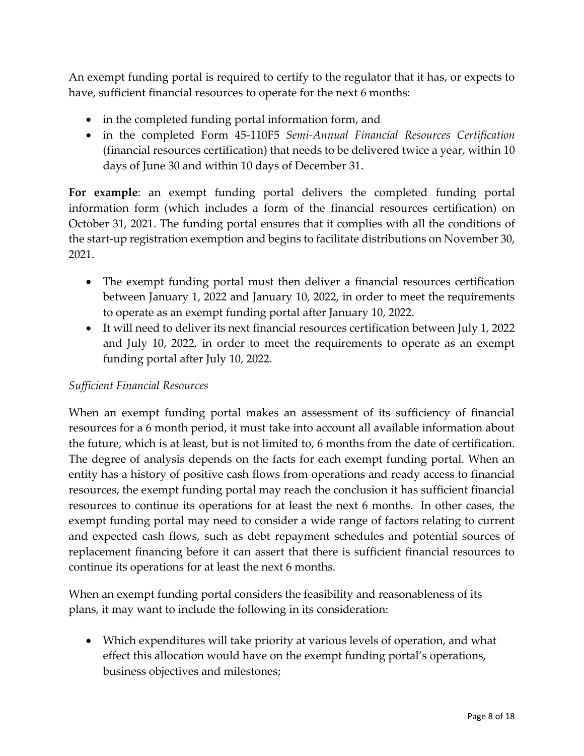An exempt funding portal is required to certify to the regulator that it has, or expects to have, sufficient financial resources to operate for the next 6 months:

- in the completed funding portal information form, and
- in the completed Form 45-110F5 *Semi-Annual Financial Resources Certification* (financial resources certification) that needs to be delivered twice a year, within 10 days of June 30 and within 10 days of December 31.

**For example**: an exempt funding portal delivers the completed funding portal information form (which includes a form of the financial resources certification) on October 31, 2021. The funding portal ensures that it complies with all the conditions of the start-up registration exemption and begins to facilitate distributions on November 30, 2021.

- The exempt funding portal must then deliver a financial resources certification between January 1, 2022 and January 10, 2022, in order to meet the requirements to operate as an exempt funding portal after January 10, 2022.
- It will need to deliver its next financial resources certification between July 1, 2022 and July 10, 2022, in order to meet the requirements to operate as an exempt funding portal after July 10, 2022.

### *Sufficient Financial Resources*

When an exempt funding portal makes an assessment of its sufficiency of financial resources for a 6 month period, it must take into account all available information about the future, which is at least, but is not limited to, 6 months from the date of certification. The degree of analysis depends on the facts for each exempt funding portal. When an entity has a history of positive cash flows from operations and ready access to financial resources, the exempt funding portal may reach the conclusion it has sufficient financial resources to continue its operations for at least the next 6 months. In other cases, the exempt funding portal may need to consider a wide range of factors relating to current and expected cash flows, such as debt repayment schedules and potential sources of replacement financing before it can assert that there is sufficient financial resources to continue its operations for at least the next 6 months.

When an exempt funding portal considers the feasibility and reasonableness of its plans, it may want to include the following in its consideration:

 Which expenditures will take priority at various levels of operation, and what effect this allocation would have on the exempt funding portal's operations, business objectives and milestones;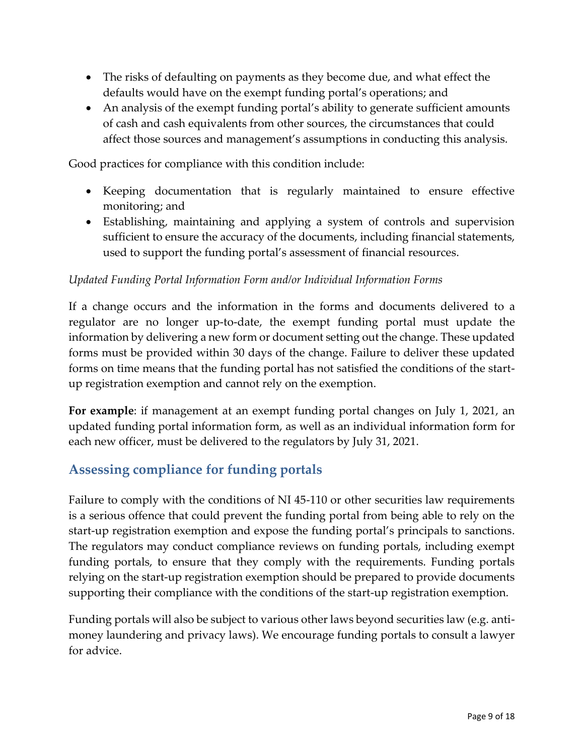- The risks of defaulting on payments as they become due, and what effect the defaults would have on the exempt funding portal's operations; and
- An analysis of the exempt funding portal's ability to generate sufficient amounts of cash and cash equivalents from other sources, the circumstances that could affect those sources and management's assumptions in conducting this analysis.

Good practices for compliance with this condition include:

- Keeping documentation that is regularly maintained to ensure effective monitoring; and
- Establishing, maintaining and applying a system of controls and supervision sufficient to ensure the accuracy of the documents, including financial statements, used to support the funding portal's assessment of financial resources.

### *Updated Funding Portal Information Form and/or Individual Information Forms*

If a change occurs and the information in the forms and documents delivered to a regulator are no longer up-to-date, the exempt funding portal must update the information by delivering a new form or document setting out the change. These updated forms must be provided within 30 days of the change. Failure to deliver these updated forms on time means that the funding portal has not satisfied the conditions of the startup registration exemption and cannot rely on the exemption.

**For example**: if management at an exempt funding portal changes on July 1, 2021, an updated funding portal information form, as well as an individual information form for each new officer, must be delivered to the regulators by July 31, 2021.

# **Assessing compliance for funding portals**

Failure to comply with the conditions of NI 45-110 or other securities law requirements is a serious offence that could prevent the funding portal from being able to rely on the start-up registration exemption and expose the funding portal's principals to sanctions. The regulators may conduct compliance reviews on funding portals, including exempt funding portals, to ensure that they comply with the requirements. Funding portals relying on the start-up registration exemption should be prepared to provide documents supporting their compliance with the conditions of the start-up registration exemption.

Funding portals will also be subject to various other laws beyond securities law (e.g. antimoney laundering and privacy laws). We encourage funding portals to consult a lawyer for advice.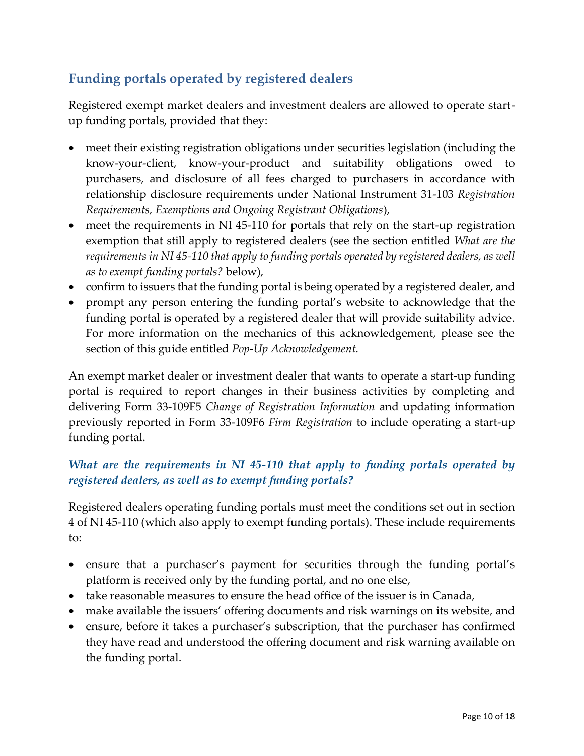# **Funding portals operated by registered dealers**

Registered exempt market dealers and investment dealers are allowed to operate startup funding portals, provided that they:

- meet their existing registration obligations under securities legislation (including the know-your-client, know-your-product and suitability obligations owed to purchasers, and disclosure of all fees charged to purchasers in accordance with relationship disclosure requirements under National Instrument 31-103 *Registration Requirements, Exemptions and Ongoing Registrant Obligations*),
- meet the requirements in NI 45-110 for portals that rely on the start-up registration exemption that still apply to registered dealers (see the section entitled *What are the requirements in NI 45-110 that apply to funding portals operated by registered dealers, as well as to exempt funding portals?* below),
- confirm to issuers that the funding portal is being operated by a registered dealer, and
- prompt any person entering the funding portal's website to acknowledge that the funding portal is operated by a registered dealer that will provide suitability advice. For more information on the mechanics of this acknowledgement, please see the section of this guide entitled *Pop-Up Acknowledgement.*

An exempt market dealer or investment dealer that wants to operate a start-up funding portal is required to report changes in their business activities by completing and delivering Form 33-109F5 *Change of Registration Information* and updating information previously reported in Form 33-109F6 *Firm Registration* to include operating a start-up funding portal.

## *What are the requirements in NI 45-110 that apply to funding portals operated by registered dealers, as well as to exempt funding portals?*

Registered dealers operating funding portals must meet the conditions set out in section 4 of NI 45-110 (which also apply to exempt funding portals). These include requirements to:

- ensure that a purchaser's payment for securities through the funding portal's platform is received only by the funding portal, and no one else,
- take reasonable measures to ensure the head office of the issuer is in Canada,
- make available the issuers' offering documents and risk warnings on its website, and
- ensure, before it takes a purchaser's subscription, that the purchaser has confirmed they have read and understood the offering document and risk warning available on the funding portal.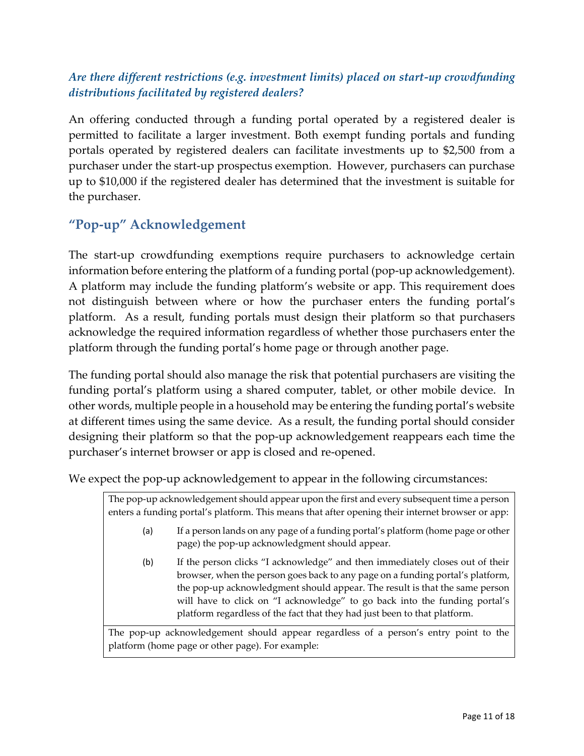## *Are there different restrictions (e.g. investment limits) placed on start-up crowdfunding distributions facilitated by registered dealers?*

An offering conducted through a funding portal operated by a registered dealer is permitted to facilitate a larger investment. Both exempt funding portals and funding portals operated by registered dealers can facilitate investments up to \$2,500 from a purchaser under the start-up prospectus exemption. However, purchasers can purchase up to \$10,000 if the registered dealer has determined that the investment is suitable for the purchaser.

## **"Pop-up" Acknowledgement**

The start-up crowdfunding exemptions require purchasers to acknowledge certain information before entering the platform of a funding portal (pop-up acknowledgement). A platform may include the funding platform's website or app. This requirement does not distinguish between where or how the purchaser enters the funding portal's platform. As a result, funding portals must design their platform so that purchasers acknowledge the required information regardless of whether those purchasers enter the platform through the funding portal's home page or through another page.

The funding portal should also manage the risk that potential purchasers are visiting the funding portal's platform using a shared computer, tablet, or other mobile device. In other words, multiple people in a household may be entering the funding portal's website at different times using the same device. As a result, the funding portal should consider designing their platform so that the pop-up acknowledgement reappears each time the purchaser's internet browser or app is closed and re-opened.

We expect the pop-up acknowledgement to appear in the following circumstances:

| The pop-up acknowledgement should appear upon the first and every subsequent time a person       |  |
|--------------------------------------------------------------------------------------------------|--|
| enters a funding portal's platform. This means that after opening their internet browser or app: |  |

- (a) If a person lands on any page of a funding portal's platform (home page or other page) the pop-up acknowledgment should appear.
- (b) If the person clicks "I acknowledge" and then immediately closes out of their browser, when the person goes back to any page on a funding portal's platform, the pop-up acknowledgment should appear. The result is that the same person will have to click on "I acknowledge" to go back into the funding portal's platform regardless of the fact that they had just been to that platform.

The pop-up acknowledgement should appear regardless of a person's entry point to the platform (home page or other page). For example: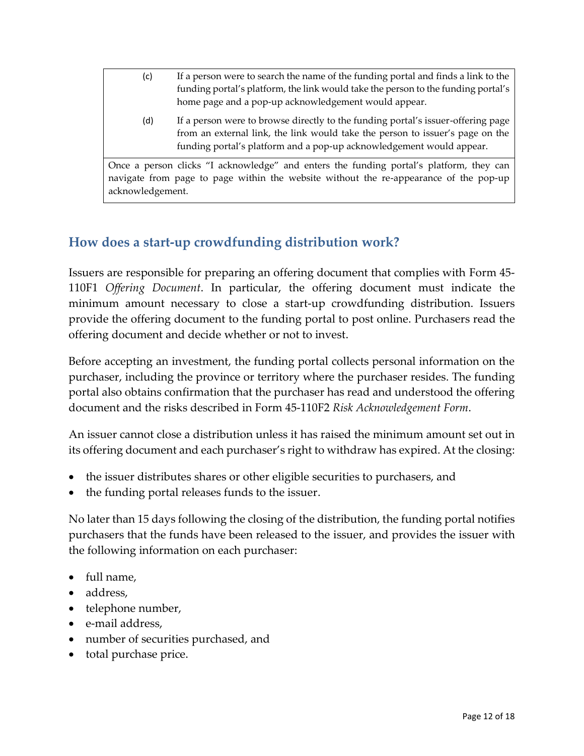- (c) If a person were to search the name of the funding portal and finds a link to the funding portal's platform, the link would take the person to the funding portal's home page and a pop-up acknowledgement would appear.
	- (d) If a person were to browse directly to the funding portal's issuer-offering page from an external link, the link would take the person to issuer's page on the funding portal's platform and a pop-up acknowledgement would appear.

Once a person clicks "I acknowledge" and enters the funding portal's platform, they can navigate from page to page within the website without the re-appearance of the pop-up acknowledgement.

## **How does a start-up crowdfunding distribution work?**

Issuers are responsible for preparing an offering document that complies with Form 45- 110F1 *Offering Document*. In particular, the offering document must indicate the minimum amount necessary to close a start-up crowdfunding distribution. Issuers provide the offering document to the funding portal to post online. Purchasers read the offering document and decide whether or not to invest.

Before accepting an investment, the funding portal collects personal information on the purchaser, including the province or territory where the purchaser resides. The funding portal also obtains confirmation that the purchaser has read and understood the offering document and the risks described in Form 45-110F2 *Risk Acknowledgement Form*.

An issuer cannot close a distribution unless it has raised the minimum amount set out in its offering document and each purchaser's right to withdraw has expired. At the closing:

- the issuer distributes shares or other eligible securities to purchasers, and
- the funding portal releases funds to the issuer.

No later than 15 days following the closing of the distribution, the funding portal notifies purchasers that the funds have been released to the issuer, and provides the issuer with the following information on each purchaser:

- full name,
- address.
- telephone number,
- e-mail address,
- number of securities purchased, and
- total purchase price.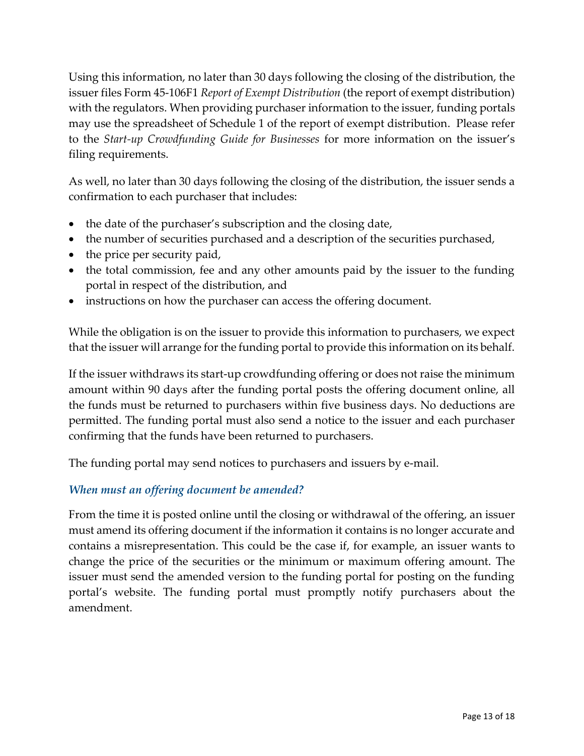Using this information, no later than 30 days following the closing of the distribution, the issuer files Form 45-106F1 *Report of Exempt Distribution* (the report of exempt distribution) with the regulators. When providing purchaser information to the issuer, funding portals may use the spreadsheet of Schedule 1 of the report of exempt distribution. Please refer to the *Start-up Crowdfunding Guide for Businesses* for more information on the issuer's filing requirements.

As well, no later than 30 days following the closing of the distribution, the issuer sends a confirmation to each purchaser that includes:

- the date of the purchaser's subscription and the closing date,
- the number of securities purchased and a description of the securities purchased,
- the price per security paid,
- the total commission, fee and any other amounts paid by the issuer to the funding portal in respect of the distribution, and
- instructions on how the purchaser can access the offering document.

While the obligation is on the issuer to provide this information to purchasers, we expect that the issuer will arrange for the funding portal to provide this information on its behalf.

If the issuer withdraws its start-up crowdfunding offering or does not raise the minimum amount within 90 days after the funding portal posts the offering document online, all the funds must be returned to purchasers within five business days. No deductions are permitted. The funding portal must also send a notice to the issuer and each purchaser confirming that the funds have been returned to purchasers.

The funding portal may send notices to purchasers and issuers by e-mail.

### *When must an offering document be amended?*

From the time it is posted online until the closing or withdrawal of the offering, an issuer must amend its offering document if the information it contains is no longer accurate and contains a misrepresentation. This could be the case if, for example, an issuer wants to change the price of the securities or the minimum or maximum offering amount. The issuer must send the amended version to the funding portal for posting on the funding portal's website. The funding portal must promptly notify purchasers about the amendment.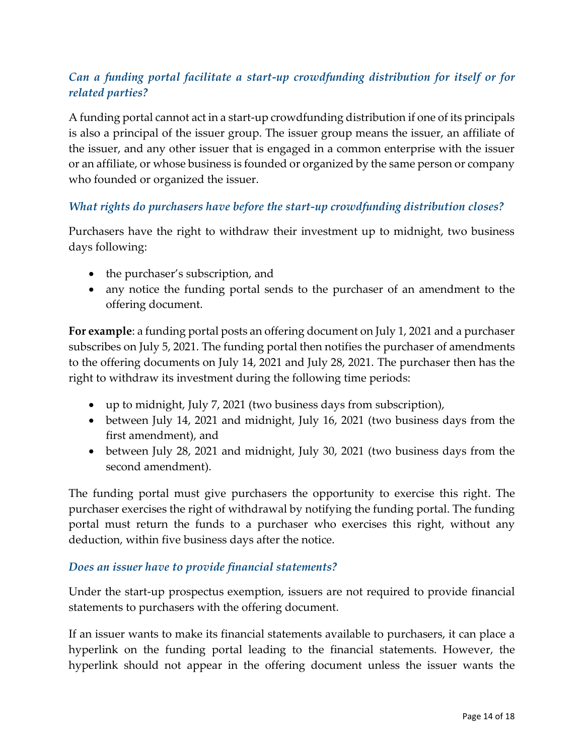## *Can a funding portal facilitate a start-up crowdfunding distribution for itself or for related parties?*

A funding portal cannot act in a start-up crowdfunding distribution if one of its principals is also a principal of the issuer group. The issuer group means the issuer, an affiliate of the issuer, and any other issuer that is engaged in a common enterprise with the issuer or an affiliate, or whose business is founded or organized by the same person or company who founded or organized the issuer.

#### *What rights do purchasers have before the start-up crowdfunding distribution closes?*

Purchasers have the right to withdraw their investment up to midnight, two business days following:

- the purchaser's subscription, and
- any notice the funding portal sends to the purchaser of an amendment to the offering document.

**For example**: a funding portal posts an offering document on July 1, 2021 and a purchaser subscribes on July 5, 2021. The funding portal then notifies the purchaser of amendments to the offering documents on July 14, 2021 and July 28, 2021. The purchaser then has the right to withdraw its investment during the following time periods:

- up to midnight, July 7, 2021 (two business days from subscription),
- between July 14, 2021 and midnight, July 16, 2021 (two business days from the first amendment), and
- between July 28, 2021 and midnight, July 30, 2021 (two business days from the second amendment).

The funding portal must give purchasers the opportunity to exercise this right. The purchaser exercises the right of withdrawal by notifying the funding portal. The funding portal must return the funds to a purchaser who exercises this right, without any deduction, within five business days after the notice.

#### *Does an issuer have to provide financial statements?*

Under the start-up prospectus exemption, issuers are not required to provide financial statements to purchasers with the offering document.

If an issuer wants to make its financial statements available to purchasers, it can place a hyperlink on the funding portal leading to the financial statements. However, the hyperlink should not appear in the offering document unless the issuer wants the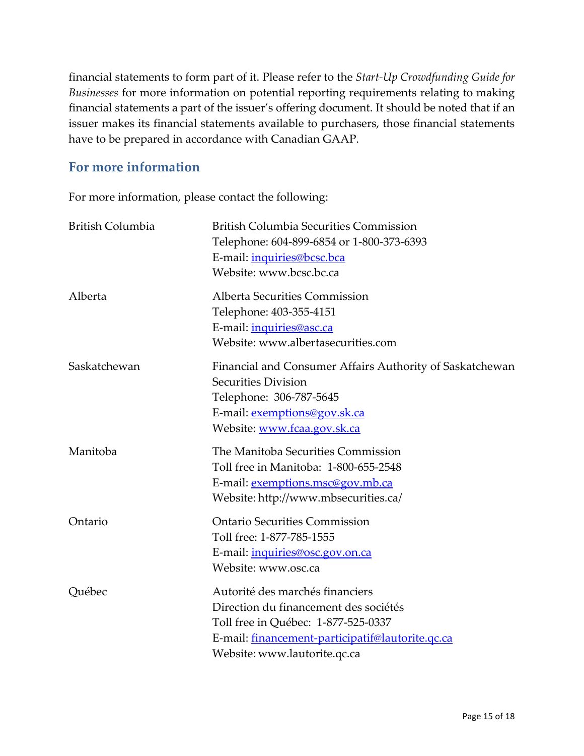financial statements to form part of it. Please refer to the *Start-Up Crowdfunding Guide for Businesses* for more information on potential reporting requirements relating to making financial statements a part of the issuer's offering document. It should be noted that if an issuer makes its financial statements available to purchasers, those financial statements have to be prepared in accordance with Canadian GAAP.

## **For more information**

For more information, please contact the following:

| British Columbia | <b>British Columbia Securities Commission</b><br>Telephone: 604-899-6854 or 1-800-373-6393<br>E-mail: <i>inquiries@bcsc.bca</i><br>Website: www.bcsc.bc.ca                                          |
|------------------|-----------------------------------------------------------------------------------------------------------------------------------------------------------------------------------------------------|
| Alberta          | Alberta Securities Commission<br>Telephone: 403-355-4151<br>E-mail: <i>inquiries@asc.ca</i><br>Website: www.albertasecurities.com                                                                   |
| Saskatchewan     | Financial and Consumer Affairs Authority of Saskatchewan<br>Securities Division<br>Telephone: 306-787-5645<br>E-mail: exemptions@gov.sk.ca<br>Website: www.fcaa.gov.sk.ca                           |
| Manitoba         | The Manitoba Securities Commission<br>Toll free in Manitoba: 1-800-655-2548<br>E-mail: exemptions.msc@gov.mb.ca<br>Website: http://www.mbsecurities.ca/                                             |
| Ontario          | <b>Ontario Securities Commission</b><br>Toll free: 1-877-785-1555<br>E-mail: inquiries@osc.gov.on.ca<br>Website: www.osc.ca                                                                         |
| Québec           | Autorité des marchés financiers<br>Direction du financement des sociétés<br>Toll free in Québec: 1-877-525-0337<br>E-mail: financement-participatif@lautorite.qc.ca<br>Website: www.lautorite.qc.ca |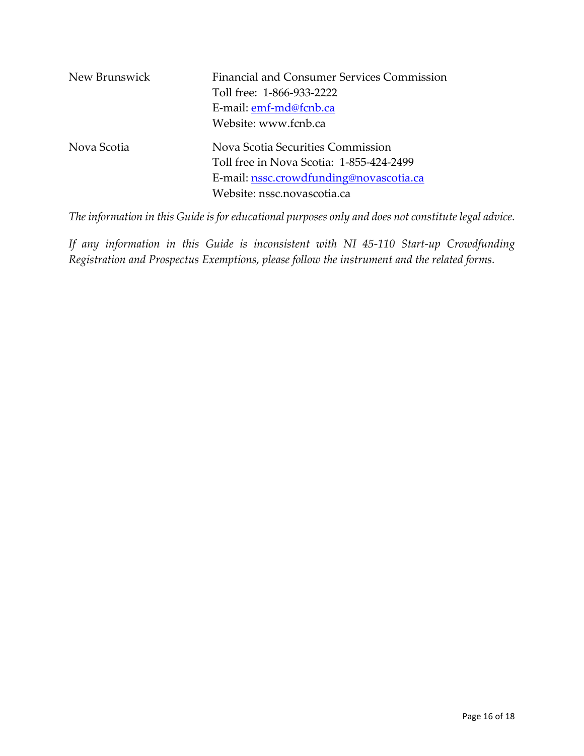| New Brunswick | Financial and Consumer Services Commission<br>Toll free: 1-866-933-2222<br>E-mail: emf-md@fcnb.ca<br>Website: www.fcnb.ca                               |
|---------------|---------------------------------------------------------------------------------------------------------------------------------------------------------|
| Nova Scotia   | Nova Scotia Securities Commission<br>Toll free in Nova Scotia: 1-855-424-2499<br>E-mail: nssc.crowdfunding@novascotia.ca<br>Website: nssc.novascotia.ca |

*The information in this Guide is for educational purposes only and does not constitute legal advice.* 

*If any information in this Guide is inconsistent with NI 45-110 Start-up Crowdfunding Registration and Prospectus Exemptions, please follow the instrument and the related forms.*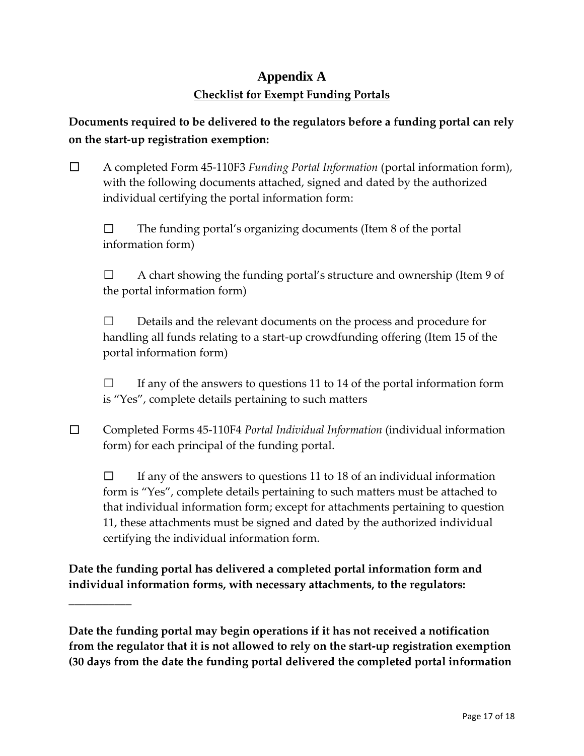# **Appendix A Checklist for Exempt Funding Portals**

**Documents required to be delivered to the regulators before a funding portal can rely on the start-up registration exemption:**

☐ A completed Form 45-110F3 *Funding Portal Information* (portal information form), with the following documents attached, signed and dated by the authorized individual certifying the portal information form:

 $\Box$  The funding portal's organizing documents (Item 8 of the portal information form)

☐ A chart showing the funding portal's structure and ownership (Item 9 of the portal information form)

☐ Details and the relevant documents on the process and procedure for handling all funds relating to a start-up crowdfunding offering (Item 15 of the portal information form)

 $\Box$  If any of the answers to questions 11 to 14 of the portal information form is "Yes", complete details pertaining to such matters

☐ Completed Forms 45-110F4 *Portal Individual Information* (individual information form) for each principal of the funding portal.

 $\Box$  If any of the answers to questions 11 to 18 of an individual information form is "Yes", complete details pertaining to such matters must be attached to that individual information form; except for attachments pertaining to question 11, these attachments must be signed and dated by the authorized individual certifying the individual information form.

**Date the funding portal has delivered a completed portal information form and individual information forms, with necessary attachments, to the regulators:** 

**\_\_\_\_\_\_\_\_\_\_\_**

**Date the funding portal may begin operations if it has not received a notification from the regulator that it is not allowed to rely on the start-up registration exemption (30 days from the date the funding portal delivered the completed portal information**